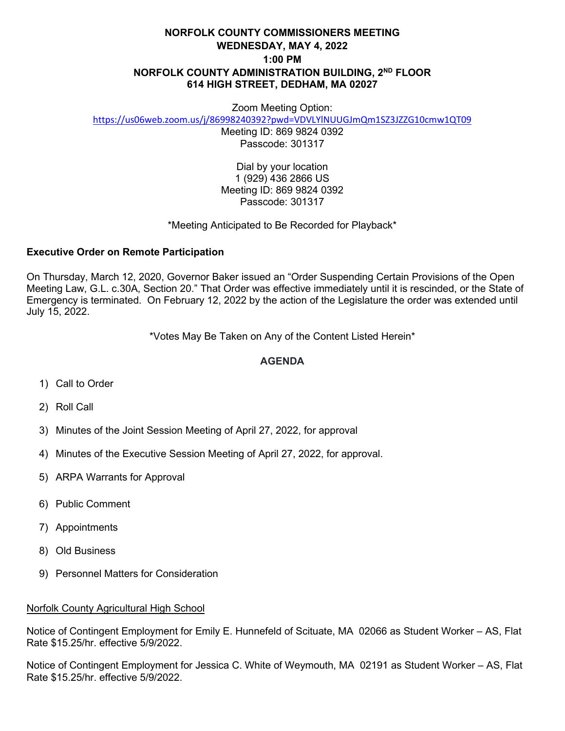# **NORFOLK COUNTY COMMISSIONERS MEETING WEDNESDAY, MAY 4, 2022 1:00 PM NORFOLK COUNTY ADMINISTRATION BUILDING, 2ND FLOOR 614 HIGH STREET, DEDHAM, MA 02027**

#### Zoom Meeting Option:

<https://us06web.zoom.us/j/86998240392?pwd=VDVLYlNUUGJmQm1SZ3JZZG10cmw1QT09>

Meeting ID: 869 9824 0392 Passcode: 301317

Dial by your location 1 (929) 436 2866 US Meeting ID: 869 9824 0392 Passcode: 301317

### \*Meeting Anticipated to Be Recorded for Playback\*

### **Executive Order on Remote Participation**

On Thursday, March 12, 2020, Governor Baker issued an "Order Suspending Certain Provisions of the Open Meeting Law, G.L. c.30A, Section 20." That Order was effective immediately until it is rescinded, or the State of Emergency is terminated. On February 12, 2022 by the action of the Legislature the order was extended until July 15, 2022.

\*Votes May Be Taken on Any of the Content Listed Herein\*

## **AGENDA**

- 1) Call to Order
- 2) Roll Call
- 3) Minutes of the Joint Session Meeting of April 27, 2022, for approval
- 4) Minutes of the Executive Session Meeting of April 27, 2022, for approval.
- 5) ARPA Warrants for Approval
- 6) Public Comment
- 7) Appointments
- 8) Old Business
- 9) Personnel Matters for Consideration

#### Norfolk County Agricultural High School

Notice of Contingent Employment for Emily E. Hunnefeld of Scituate, MA 02066 as Student Worker – AS, Flat Rate \$15.25/hr. effective 5/9/2022.

Notice of Contingent Employment for Jessica C. White of Weymouth, MA 02191 as Student Worker – AS, Flat Rate \$15.25/hr. effective 5/9/2022.